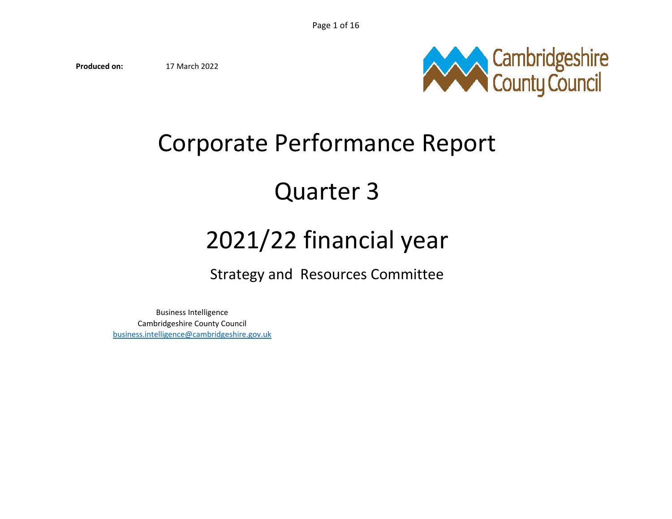**Produced on:**17 March 2022



# Corporate Performance Report

# Quarter 3

# 2021/22 financial year

Strategy and Resources Committee

Business Intelligence Cambridgeshire County Councilbusiness.intelligence@cambridgeshire.gov.uk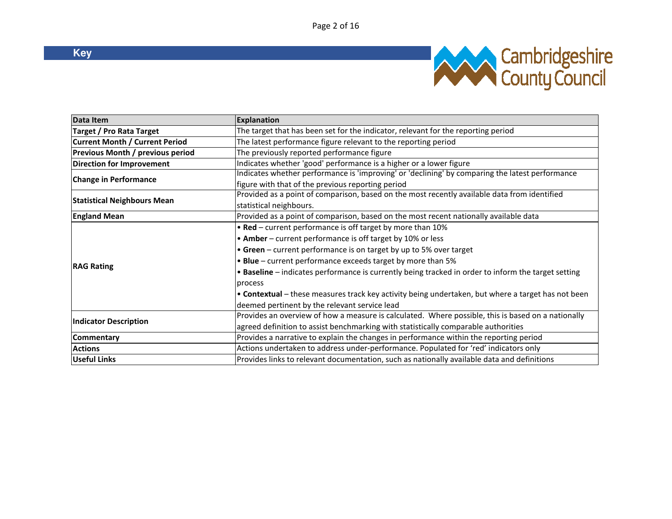

| Data Item                             | <b>Explanation</b>                                                                                  |  |  |  |
|---------------------------------------|-----------------------------------------------------------------------------------------------------|--|--|--|
| <b>Target / Pro Rata Target</b>       | The target that has been set for the indicator, relevant for the reporting period                   |  |  |  |
| <b>Current Month / Current Period</b> | The latest performance figure relevant to the reporting period                                      |  |  |  |
| Previous Month / previous period      | The previously reported performance figure                                                          |  |  |  |
| Direction for Improvement             | Indicates whether 'good' performance is a higher or a lower figure                                  |  |  |  |
| <b>Change in Performance</b>          | Indicates whether performance is 'improving' or 'declining' by comparing the latest performance     |  |  |  |
|                                       | figure with that of the previous reporting period                                                   |  |  |  |
| <b>Statistical Neighbours Mean</b>    | Provided as a point of comparison, based on the most recently available data from identified        |  |  |  |
|                                       | statistical neighbours.                                                                             |  |  |  |
| <b>England Mean</b>                   | Provided as a point of comparison, based on the most recent nationally available data               |  |  |  |
|                                       | . Red - current performance is off target by more than 10%                                          |  |  |  |
|                                       | • Amber - current performance is off target by 10% or less                                          |  |  |  |
|                                       | • Green - current performance is on target by up to 5% over target                                  |  |  |  |
|                                       | • Blue - current performance exceeds target by more than 5%                                         |  |  |  |
| <b>RAG Rating</b>                     | • Baseline – indicates performance is currently being tracked in order to inform the target setting |  |  |  |
|                                       | process                                                                                             |  |  |  |
|                                       | . Contextual - these measures track key activity being undertaken, but where a target has not been  |  |  |  |
|                                       | deemed pertinent by the relevant service lead                                                       |  |  |  |
|                                       | Provides an overview of how a measure is calculated. Where possible, this is based on a nationally  |  |  |  |
| <b>Indicator Description</b>          | agreed definition to assist benchmarking with statistically comparable authorities                  |  |  |  |
| Commentary                            | Provides a narrative to explain the changes in performance within the reporting period              |  |  |  |
| <b>Actions</b>                        | Actions undertaken to address under-performance. Populated for 'red' indicators only                |  |  |  |
| <b>Useful Links</b>                   | Provides links to relevant documentation, such as nationally available data and definitions         |  |  |  |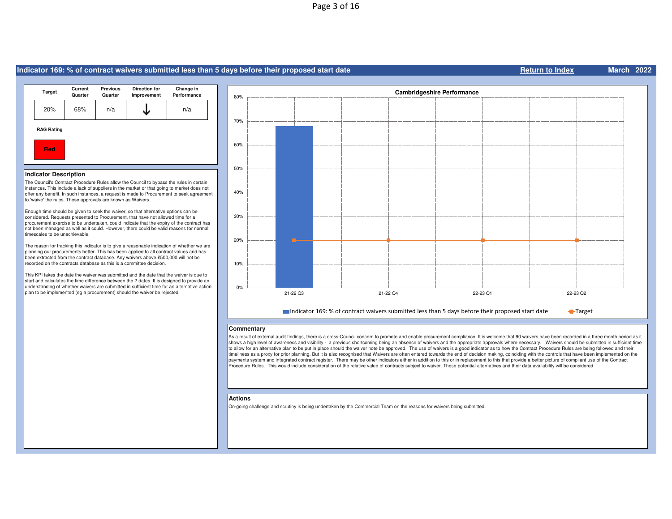# Page 3 of 16

#### **RedIndicator Description**  The Council's Contract Procedure Rules allow the Council to bypass the rules in certain instances. This include a lack of suppliers in the market or that going to market does not offer any benefit. In such instances, a request is made to Procurement to seek agreement to 'waive' the rules. These approvals are known as Waivers. Enough time should be given to seek the waiver, so that alternative options can be considered. Requests presented to Procurement, that have not allowed time for a procurement exercise to be undertaken, could indicate that the expiry of the contract has not been managed as well as it could. However, there could be valid reasons for normal timescales to be unachievable. The reason for tracking this indicator is to give a reasonable indication of whether we are planning our procurements better. This has been applied to all contract values and has been extracted from the contract database. Any waivers above £500,000 will not be recorded on the contracts database as this is a committee decision. This KPI takes the date the waiver was submitted and the date that the waiver is due to start and calculates the time difference between the 2 dates. It is designed to provide an understanding of whether waivers are submitted in sufficient time for an alternative action plan to be implemented (eg a procurement) should the waiver be rejected.20% 68% n/a $\begin{array}{ccc} \texttt{a} & \end{array}$  $\frac{1}{\sqrt{2}}$  n/a **RAG RatingTarget Current QuarterPrevious Direction for Change in Quarter Improvement Performance** 0%10%20%30%40%50%60%70%80%21-22 Q33 22-23 Q2 21-22 Q4 21-22 Q4 22-23 Q1 **Cambridgeshire Performance**Indicator 169: % of contract waivers submitted less than 5 days before their proposed start dateTarget

#### **Commentary**

**Indicator 169: % of contract waivers submitted less than 5 days before their proposed start date**

As a result of external audit findings, there is a cross-Council concern to promote and enable procurement compliance. It is welcome that 90 waivers have been recorded in a three month period as it shows a high level of awareness and visibility - a previous shortcoming being an absence of waivers and the appropriate approvals where necessary. Waivers should be submitted in sufficient time to allow for an alternative plan to be put in place should the waiver note be approved. The use of waivers is a good indicator as to how the Contract Procedure Rules are being followed and their timeliness as a proxy for prior planning. But it is also recognised that Waivers are often entered towards the end of decision making, coinciding with the controls that have been implemented on the payments system and integrated contract register. There may be other indicators either in addition to this or in replacement to this that provide a better picture of compliant use of the Contract Procedure Rules. This would include consideration of the relative value of contracts subject to waiver. These potential alternatives and their data availability will be considered.

**Return to Index**

**March <sup>2022</sup>**

#### **Actions**

On-going challenge and scrutiny is being undertaken by the Commercial Team on the reasons for waivers being submitted.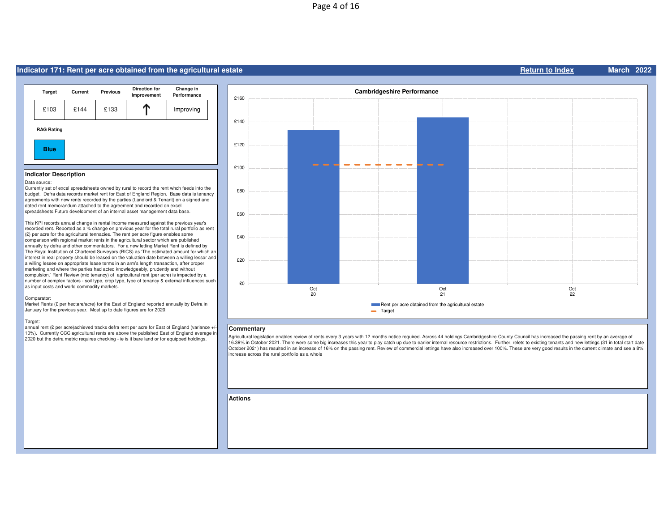# **Indicator 171: Rent per acre obtained from the agricultural estate**



## **Indicator Description**

### Data source:

 Currently set of excel spreadsheets owned by rural to record the rent whch feeds into the budget. Defra data records market rent for East of England Region. Base data is tenancy agreements with new rents recorded by the parties (Landlord & Tenant) on a signed and dated rent memorandum attached to the agreement and recorded on excel spreadsheets.Future development of an internal asset management data base.

This KPI records annual change in rental income measured against the previous year's recorded rent. Reported as a % change on previous year for the total rural portfolio as rent (£) per acre for the agricultural tennacies. The rent per acre figure enables some comparison with regional market rents in the agricultural sector which are published annually by defra and other commentators. For a new letting Market Rent is defined by The Royal Institution of Chartered Surveyors (RICS) as 'The estimated amount for which an interest in real property should be leased on the valuation date between a willing lessor and a willing lessee on appropriate lease terms in an arm's length transaction, after proper marketing and where the parties had acted knowledgeably, prudently and without compulsion.' Rent Review (mid tenancy) of agricultural rent (per acre) is impacted by a number of complex factors - soil type, crop type, type of tenancy & external influences such as input costs and world commodity markets.

#### Comparator:

 Market Rents (£ per hectare/acre) for the East of England reported annually by Defra in January for the previous year. Most up to date figures are for 2020.

#### Target:

annual rent (£ per acre)achieved tracks defra rent per acre for East of England (variance +/-10%). Currently CCC agricultural rents are above the published East of England average in 2020 but the defra metric requires checking - ie is it bare land or for equipped holdings.



**Return to Index**

**March <sup>2022</sup>**

### **Commentary**

Agricultural legislation enables review of rents every 3 years with 12 months notice required. Across 44 holdings Cambridgeshire County Council has increased the passing rent by an average of 16.39% in October 2021. There were some big increases this year to play catch up due to earlier internal resource restrictions. Further, relets to existing tenants and new lettings (31 in total start date October 2021) has resulted in an increase of 16% on the passing rent. Review of commercial lettings have also increased over 100%. These are very good results in the current climate and see a 8% increase across the rural portfolio as a whole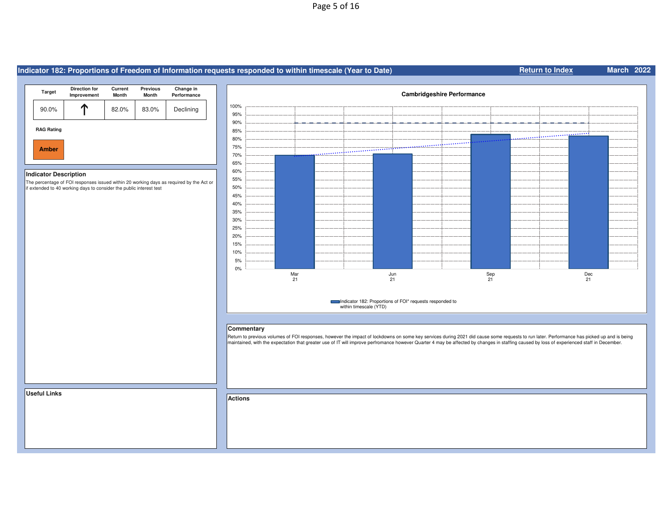# Page 5 of 16

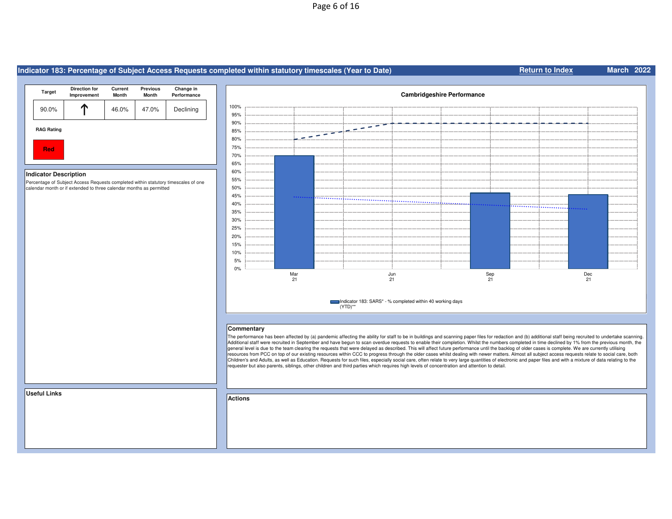# Page 6 of 16

#### **Indicator 183: Percentage of Subject Access Requests completed within statutory timescales (Year to Date)Return to Index Direction for Improvement Current Month Previous Month Change in Performance TargetCambridgeshire Performance** 100% $\mathbf \Gamma$ 90.0%**T** 46.0% 47.0% Declining 95% 90%  $\overline{\phantom{a}}$  .  $\overline{\phantom{a}}$ **RAG Rating**85% - - $\overline{\phantom{0}}$  $\rightarrow$ 80% **Red**75% **Red** 70% 65% 60% **Indicator Description**  Percentage of Subject Access Requests completed within statutory timescales of one 55% calendar month or if extended to three calendar months as permitted50% 45% ......... 40% .................. 35% 30% 25% 20% 15% 10% 5% 0% MarJunSepDec 21 21 21 21Indicator 183: SARS\* - % completed within 40 working days (YTD)\*\***Commentary**The performance has been affected by (a) pandemic affecting the ability for staff to be in buildings and scanning paper files for redaction and (b) additional staff being recruited to undertake scanning. Additional staff were recruited in September and have begun to scan overdue requests to enable their completion. Whilst the numbers completed in time declined by 1% from the previous month, the general level is due to the team clearing the requests that were delayed as described. This will affect future performance until the backlog of older cases is complete. We are currently utilising resources from PCC on top of our existing resources within CCC to progress through the older cases whilst dealing with newer matters. Almost all subject access requests relate to social care, both Children's and Adults, as well as Education. Requests for such files, especially social care, often relate to very large quantities of electronic and paper files and with a mixture of data relating to the requester but also parents, siblings, other children and third parties which requires high levels of concentration and attention to detail.**Useful LinksActions**

**March <sup>2022</sup>**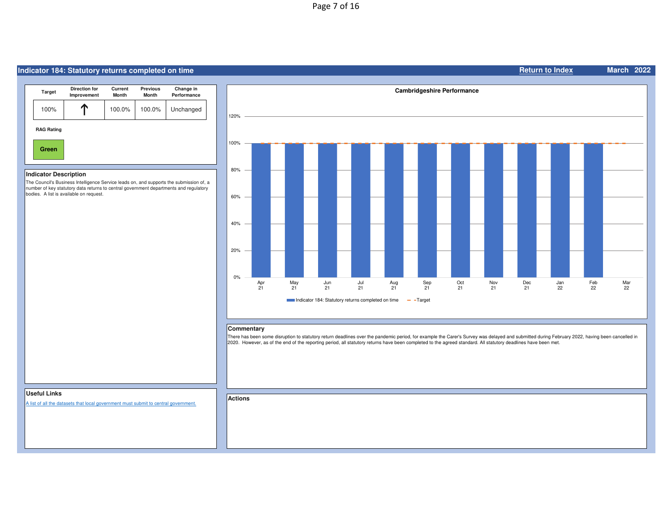# Page 7 of 16

# **Indicator 184: Statutory returns completed on time**



# **Indicator Description**

 The Council's Business Intelligence Service leads on, and supports the submission of, a number of key statutory data returns to central government departments and regulatory bodies. A list is available on request.



**Return to Index**

**March <sup>2022</sup>**

### **Commentary**

 There has been some disruption to statutory return deadlines over the pandemic period, for example the Carer's Survey was delayed and submitted during February 2022, having been cancelled in 2020. However, as of the end of the reporting period, all statutory returns have been completed to the agreed standard. All statutory deadlines have been met.

# **Useful Links**

A list of all the datasets that local government must submit to central government.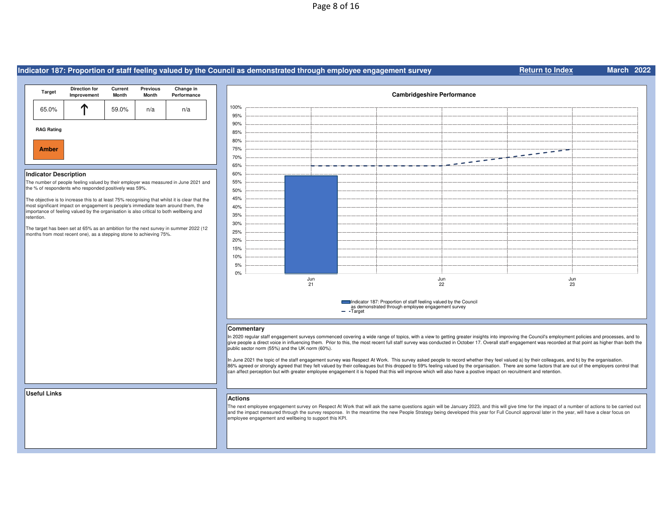# Page 8 of 16

|                                                                                                                                                                                                                                                                                                                                                                                                                                                                                  | Indicator 187: Proportion of staff feeling valued by the Council as demonstrated through employee engagement survey                                                                                                                                                                                                                                                                                                                                                                                                                                                      | <b>March 2022</b><br><b>Return to Index</b>                                                                                                                                                                                                                                                                                                                                                                   |  |  |  |  |  |
|----------------------------------------------------------------------------------------------------------------------------------------------------------------------------------------------------------------------------------------------------------------------------------------------------------------------------------------------------------------------------------------------------------------------------------------------------------------------------------|--------------------------------------------------------------------------------------------------------------------------------------------------------------------------------------------------------------------------------------------------------------------------------------------------------------------------------------------------------------------------------------------------------------------------------------------------------------------------------------------------------------------------------------------------------------------------|---------------------------------------------------------------------------------------------------------------------------------------------------------------------------------------------------------------------------------------------------------------------------------------------------------------------------------------------------------------------------------------------------------------|--|--|--|--|--|
|                                                                                                                                                                                                                                                                                                                                                                                                                                                                                  |                                                                                                                                                                                                                                                                                                                                                                                                                                                                                                                                                                          |                                                                                                                                                                                                                                                                                                                                                                                                               |  |  |  |  |  |
| <b>Previous</b><br>Change in<br><b>Direction for</b><br>Current<br><b>Target</b><br>Improvement<br>Month<br>Performance<br><b>Month</b>                                                                                                                                                                                                                                                                                                                                          | <b>Cambridgeshire Performance</b>                                                                                                                                                                                                                                                                                                                                                                                                                                                                                                                                        |                                                                                                                                                                                                                                                                                                                                                                                                               |  |  |  |  |  |
| ↑<br>65.0%<br>59.0%<br>n/a<br>n/a                                                                                                                                                                                                                                                                                                                                                                                                                                                | 100%<br>95%                                                                                                                                                                                                                                                                                                                                                                                                                                                                                                                                                              |                                                                                                                                                                                                                                                                                                                                                                                                               |  |  |  |  |  |
| <b>RAG Rating</b>                                                                                                                                                                                                                                                                                                                                                                                                                                                                | 90%                                                                                                                                                                                                                                                                                                                                                                                                                                                                                                                                                                      |                                                                                                                                                                                                                                                                                                                                                                                                               |  |  |  |  |  |
|                                                                                                                                                                                                                                                                                                                                                                                                                                                                                  | 85%<br>80%                                                                                                                                                                                                                                                                                                                                                                                                                                                                                                                                                               |                                                                                                                                                                                                                                                                                                                                                                                                               |  |  |  |  |  |
| <b>Amber</b>                                                                                                                                                                                                                                                                                                                                                                                                                                                                     | 75%                                                                                                                                                                                                                                                                                                                                                                                                                                                                                                                                                                      |                                                                                                                                                                                                                                                                                                                                                                                                               |  |  |  |  |  |
|                                                                                                                                                                                                                                                                                                                                                                                                                                                                                  | 70%                                                                                                                                                                                                                                                                                                                                                                                                                                                                                                                                                                      | $\frac{1}{2} \frac{1}{2} \frac{1}{2} \frac{1}{2} \frac{1}{2} \frac{1}{2} \frac{1}{2} \frac{1}{2} \frac{1}{2} \frac{1}{2} \frac{1}{2} \frac{1}{2} \frac{1}{2} \frac{1}{2} \frac{1}{2} \frac{1}{2} \frac{1}{2} \frac{1}{2} \frac{1}{2} \frac{1}{2} \frac{1}{2} \frac{1}{2} \frac{1}{2} \frac{1}{2} \frac{1}{2} \frac{1}{2} \frac{1}{2} \frac{1}{2} \frac{1}{2} \frac{1}{2} \frac{1}{2} \frac{$<br>$\frac{1}{2}$ |  |  |  |  |  |
|                                                                                                                                                                                                                                                                                                                                                                                                                                                                                  | 65%<br>60%                                                                                                                                                                                                                                                                                                                                                                                                                                                                                                                                                               |                                                                                                                                                                                                                                                                                                                                                                                                               |  |  |  |  |  |
| <b>Indicator Description</b><br>The number of people feeling valued by their employer was measured in June 2021 and                                                                                                                                                                                                                                                                                                                                                              | 55%                                                                                                                                                                                                                                                                                                                                                                                                                                                                                                                                                                      |                                                                                                                                                                                                                                                                                                                                                                                                               |  |  |  |  |  |
| the % of respondents who responded positively was 59%.                                                                                                                                                                                                                                                                                                                                                                                                                           | 50%                                                                                                                                                                                                                                                                                                                                                                                                                                                                                                                                                                      |                                                                                                                                                                                                                                                                                                                                                                                                               |  |  |  |  |  |
| The objective is to increase this to at least 75% recognising that whilst it is clear that the<br>most significant impact on engagement is people's immediate team around them, the                                                                                                                                                                                                                                                                                              | 45%                                                                                                                                                                                                                                                                                                                                                                                                                                                                                                                                                                      |                                                                                                                                                                                                                                                                                                                                                                                                               |  |  |  |  |  |
| importance of feeling valued by the organisation is also critical to both wellbeing and                                                                                                                                                                                                                                                                                                                                                                                          | 40%<br>35%                                                                                                                                                                                                                                                                                                                                                                                                                                                                                                                                                               |                                                                                                                                                                                                                                                                                                                                                                                                               |  |  |  |  |  |
| retention.                                                                                                                                                                                                                                                                                                                                                                                                                                                                       | 30%                                                                                                                                                                                                                                                                                                                                                                                                                                                                                                                                                                      |                                                                                                                                                                                                                                                                                                                                                                                                               |  |  |  |  |  |
| The target has been set at 65% as an ambition for the next survey in summer 2022 (12<br>months from most recent one), as a stepping stone to achieving 75%.                                                                                                                                                                                                                                                                                                                      | 25%                                                                                                                                                                                                                                                                                                                                                                                                                                                                                                                                                                      |                                                                                                                                                                                                                                                                                                                                                                                                               |  |  |  |  |  |
|                                                                                                                                                                                                                                                                                                                                                                                                                                                                                  | 20%<br>15%                                                                                                                                                                                                                                                                                                                                                                                                                                                                                                                                                               |                                                                                                                                                                                                                                                                                                                                                                                                               |  |  |  |  |  |
|                                                                                                                                                                                                                                                                                                                                                                                                                                                                                  | 10%                                                                                                                                                                                                                                                                                                                                                                                                                                                                                                                                                                      |                                                                                                                                                                                                                                                                                                                                                                                                               |  |  |  |  |  |
|                                                                                                                                                                                                                                                                                                                                                                                                                                                                                  | 5%                                                                                                                                                                                                                                                                                                                                                                                                                                                                                                                                                                       |                                                                                                                                                                                                                                                                                                                                                                                                               |  |  |  |  |  |
|                                                                                                                                                                                                                                                                                                                                                                                                                                                                                  | 0%<br>Jun<br>Jun<br>21<br>22                                                                                                                                                                                                                                                                                                                                                                                                                                                                                                                                             | Jun<br>23                                                                                                                                                                                                                                                                                                                                                                                                     |  |  |  |  |  |
|                                                                                                                                                                                                                                                                                                                                                                                                                                                                                  |                                                                                                                                                                                                                                                                                                                                                                                                                                                                                                                                                                          |                                                                                                                                                                                                                                                                                                                                                                                                               |  |  |  |  |  |
| Indicator 187: Proportion of staff feeling valued by the Council<br>as demonstrated through employee engagement survey<br>- Target                                                                                                                                                                                                                                                                                                                                               |                                                                                                                                                                                                                                                                                                                                                                                                                                                                                                                                                                          |                                                                                                                                                                                                                                                                                                                                                                                                               |  |  |  |  |  |
|                                                                                                                                                                                                                                                                                                                                                                                                                                                                                  |                                                                                                                                                                                                                                                                                                                                                                                                                                                                                                                                                                          |                                                                                                                                                                                                                                                                                                                                                                                                               |  |  |  |  |  |
| Commentary<br>In 2020 regular staff engagement surveys commenced covering a wide range of topics, with a view to getting greater insights into improving the Council's employment policies and processes, and to<br>give people a direct voice in influencing them. Prior to this, the most recent full staff survey was conducted in October 17. Overall staff engagement was recorded at that point as higher than both the<br>public sector norm (55%) and the UK norm (60%). |                                                                                                                                                                                                                                                                                                                                                                                                                                                                                                                                                                          |                                                                                                                                                                                                                                                                                                                                                                                                               |  |  |  |  |  |
|                                                                                                                                                                                                                                                                                                                                                                                                                                                                                  | In June 2021 the topic of the staff engagement survey was Respect At Work. This survey asked people to record whether they feel valued a) by their colleagues, and b) by the organisation.<br>86% agreed or strongly agreed that they felt valued by their colleagues but this dropped to 59% feeling valued by the organisation. There are some factors that are out of the employers control that<br>can affect perception but with greater employee engagement it is hoped that this will improve which will also have a postive impact on recruitment and retention. |                                                                                                                                                                                                                                                                                                                                                                                                               |  |  |  |  |  |
| <b>Useful Links</b>                                                                                                                                                                                                                                                                                                                                                                                                                                                              | <b>Actions</b>                                                                                                                                                                                                                                                                                                                                                                                                                                                                                                                                                           |                                                                                                                                                                                                                                                                                                                                                                                                               |  |  |  |  |  |
|                                                                                                                                                                                                                                                                                                                                                                                                                                                                                  | The next employee engagement survey on Respect At Work that will ask the same questions again will be January 2023, and this will give time for the impact of a number of actions to be carried out<br>and the impact measured through the survey response. In the meantime the new People Strategy being developed this year for Full Council approval later in the year, will have a clear focus on<br>employee engagement and wellbeing to support this KPI.                                                                                                          |                                                                                                                                                                                                                                                                                                                                                                                                               |  |  |  |  |  |
|                                                                                                                                                                                                                                                                                                                                                                                                                                                                                  |                                                                                                                                                                                                                                                                                                                                                                                                                                                                                                                                                                          |                                                                                                                                                                                                                                                                                                                                                                                                               |  |  |  |  |  |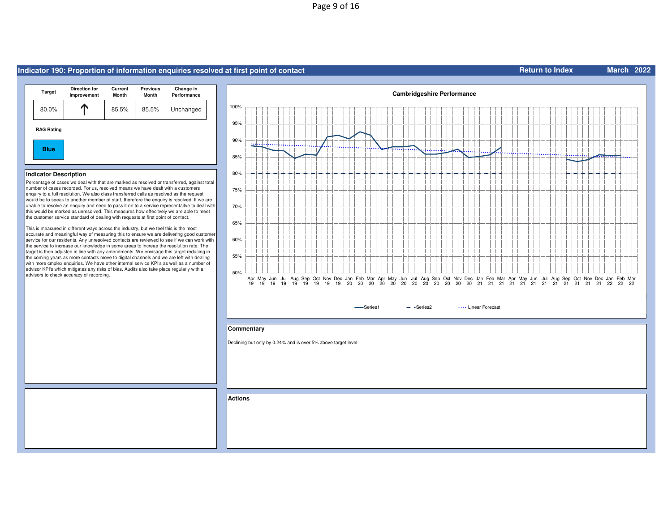# Page 9 of 16

# **Indicator 190: Proportion of information enquiries resolved at first point of contact**



## **Indicator Description**

 Percentage of cases we deal with that are marked as resolved or transferred, against total number of cases recorded. For us, resolved means we have dealt with a customers enquiry to a full resolution. We also class transferred calls as resolved as the request would be to speak to another member of staff, therefore the enquiry is resolved. If we are unable to resolve an enquiry and need to pass it on to a service representaitve to deal with this would be marked as unresolved. This measures how effecitvely we are able to meet the customer service standard of dealing with requests at first point of contact.

This is measured in different ways across the industry, but we feel this is the most accurate and meaningful way of measuring this to ensure we are delivering good customer service for our residents. Any unresolved contacts are reviewed to see if we can work with the service to increase our knowledge in some areas to increae the resolution rate. The target is then adjusted in line with any amendments. We envisage this target reducing in the coming years as more contacts move to digital channels and we are left with dealing with more cmplex enquiries. We have other internal service KPI's as well as a number of advisor KPI's which mitigates any risks of bias. Audits also take place regularly with all advisors to check accuracy of recording.



**Return to Index**

**March <sup>2022</sup>**

# **Commentary**

Declining but only by 0.24% and is over 5% above target level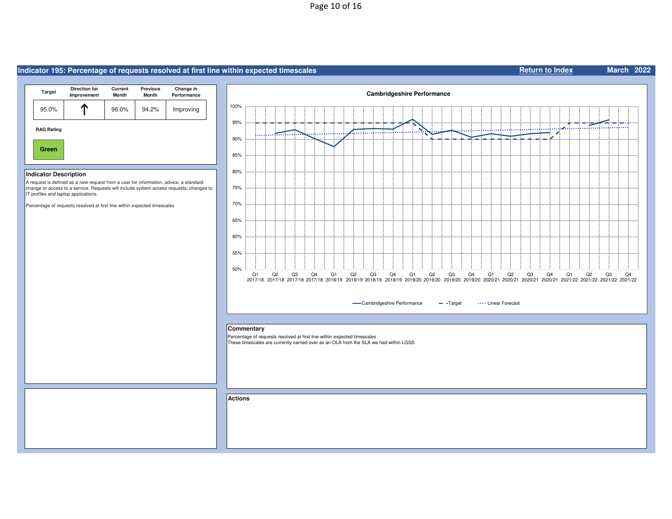# Page 10 of 16

# **Indicator 195: Percentage of requests resolved at first line within expected timescales**



# **Indicator Description**

 A request is defined as a new request from a user for information, advice, a standard change or access to a service. Requests will include system access requests, changes to IT profiles and laptop applications.

Percentage of requests resolved at first line within expected timescales



**Return to Index**

**March <sup>2022</sup>**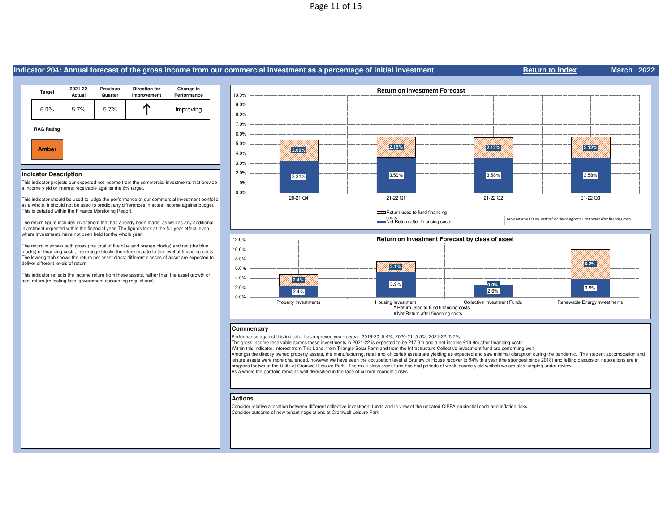# Page 11 of 16

#### **Indicator 204: Annual forecast of the gross income from our commercial investment as a percentage of initial investmentRAG RatingAmber**6.0% 5.7% 5.7% $\sim$  1 Improving **Return to IndexTarget 2021-22 Actual Previous QuarterDirection for** Change in Improvement Performance **2.09%2.12% <b>2.12% 2.12%**  2.12% **2.12%**  2.12% **2.12%**  2.12% **2.12%**  2.12% **2.12%** 4.0% 5.0% 6.0% 7.0% 8.0% 9.0% 10.0%**Return on Investment Forecast**

### **Indicator Description**

 This indicator projects our expected net income from the commercial investments that provide a income yield or interest receivable against the 6% target.

This indicator should be used to judge the performance of our commercial investment portfolio as a whole. It should not be used to predict any differences in actual income against budget. This is detailed within the Finance Monitoring Report.

The return figure includes investment that has already been made, as well as any additional investment expected within the financial year. The figures look at the full year effect, even where investments have not been held for the whole year.

The return is shown both gross (the total of the blue and orange blocks) and net (the blue blocks) of financing costs; the orange blocks therefore equate to the level of financing costs. The lower graph shows the return per asset class; different classes of asset are expected to deliver different levels of return.

This indicator reflects the income return from these assets, rather than the asset growth or total return (reflecting local government accounting regulations).



**March <sup>2022</sup>**

# **Commentary**

Performance against this indicator has improved year-to-year. 2019-20: 5.4%, 2020-21: 5.5%, 2021-22: 5.7%

The gross income receivable across these investments in 2021-22 is expected to be £17.3m and a net income £10.9m after financing costs

Within this indicator, interest from This Land, from Triangle Solar Farm and from the Infrastructure Collective investment fund are performing well.

 Amongst the directly owned property assets, the manufacturing, retail and office/lab assets are yielding as expected and saw minimal disruption during the pandemic. The student accomodation and leisure assets were more challenged, however we have seen the occupation level at Brunswick House recover to 94% this year (the strongest since 2018) and letting discussion negoiations are in progress for two of the Units at Cromwell Leisure Park. The multi-class credit fund has had periods of weak income yield whihch we are also keeping under review. As a whole the portfolio remains well diversified in the face of current economic risks.

#### **Actions**

 Consider relative allocation between different collective investment funds and in view of the updated CIPFA prudential code and inflation risks. Consider outcome of new tenant negoiations at Cromwell Leisure Park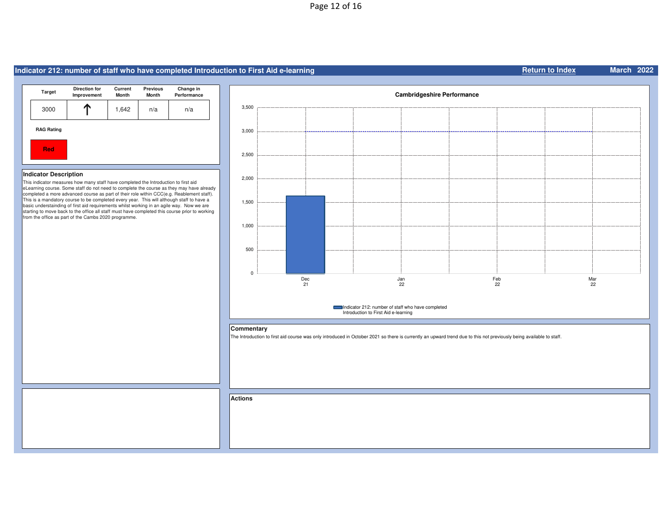# **Indicator 212: number of staff who have completed Introduction to First Aid e-learning**



# **Indicator Description**

 This indicator measures how many staff have completed the Introduction to first aid eLearning course. Some staff do not need to complete the course as they may have already completed a more advanced course as part of their role within CCC(e.g. Reablement staff).<br>This is a mandatory course to be completed every year. This will although staff to have a basic understainding of first aid requirements whilst working in an agile way. Now we are starting to move back to the office all staff must have completed this course prior to working from the office as part of the Cambs 2020 programme.



# **Commentary**

The Introduction to first aid course was only introduced in October 2021 so there is currently an upward trend due to this not previously being available to staff.

**Actions**

#### **Return to IndexMarch <sup>2022</sup>**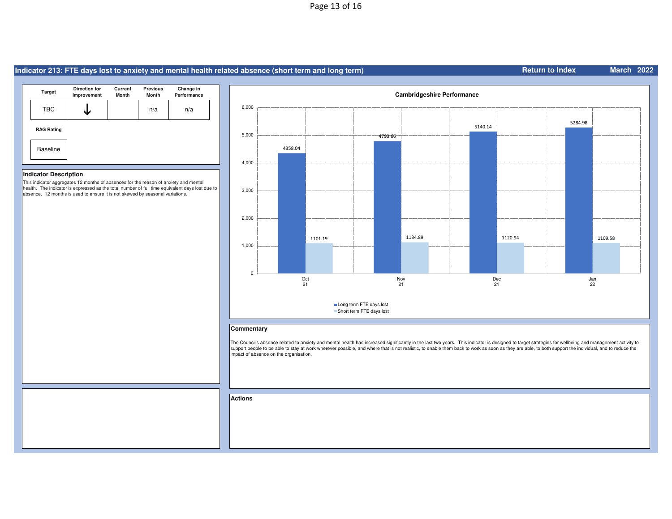# Page 13 of 16

# **Indicator 213: FTE days lost to anxiety and mental health related absence (short term and long term)**



# **Indicator Description**

 This indicator aggregates 12 months of absences for the reason of anxiety and mental health. The indicator is expressed as the total number of full time equivalent days lost due to absence. 12 months is used to ensure it is not skewed by seasonal variations.



# **Commentary**

The Council's absence related to anxiety and mental health has increased significantly in the last two years. This indicator is designed to target strategies for wellbeing and management activity to<br>support people to be ab impact of absence on the organisation.

**Actions**

#### **Return to IndexMarch <sup>2022</sup>**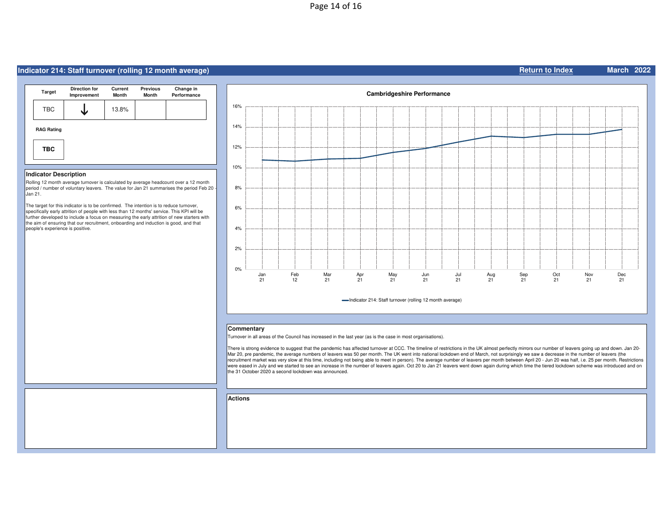# **Indicator 214: Staff turnover (rolling 12 month average)**

| <b>Target</b>     | <b>Direction for</b><br>Improvement | Current<br><b>Month</b> | <b>Previous</b><br><b>Month</b> | Change in<br>Performance |
|-------------------|-------------------------------------|-------------------------|---------------------------------|--------------------------|
| <b>TBC</b>        |                                     | 13.8%                   |                                 |                          |
| <b>RAG Rating</b> |                                     |                         |                                 |                          |
| <b>TBC</b>        |                                     |                         |                                 |                          |

# **Indicator Description**

 Rolling 12 month average turnover is calculated by average headcount over a 12 month period / number of voluntary leavers. The value for Jan 21 summarises the period Feb 20 - $\mathsf{\ddot{\color{red}Jan\;21.}}$ 

The target for this indicator is to be confirmed. The intention is to reduce turnover, specifically early attrition of people with less than 12 months' service. This KPI will be further developed to include a focus on measuring the early attrition of new starters with the aim of ensuring that our recruitment, onboarding and induction is good, and that people's experience is positive.



#### **Commentary**

Turnover in all areas of the Council has increased in the last year (as is the case in most organisations).

There is strong evidence to suggest that the pandemic has affected turnover at CCC. The timeline of restrictions in the UK almost perfectly mirrors our number of leavers going up and down. Jan 20-Mar 20, pre pandemic, the average numbers of leavers was 50 per month. The UK went into national lockdown end of March, not surprisingly we saw a decrease in the number of leavers (the recruitment market was very slow at this time, including not being able to meet in person). The average number of leavers per month between April 20 - Jun 20 was half, i.e. 25 per month. Restrictions were eased in July and we started to see an increase in the number of leavers again. Oct 20 to Jan 21 leavers went down again during which time the tiered lockdown scheme was introduced and on the 31 October 2020 a second lockdown was announced.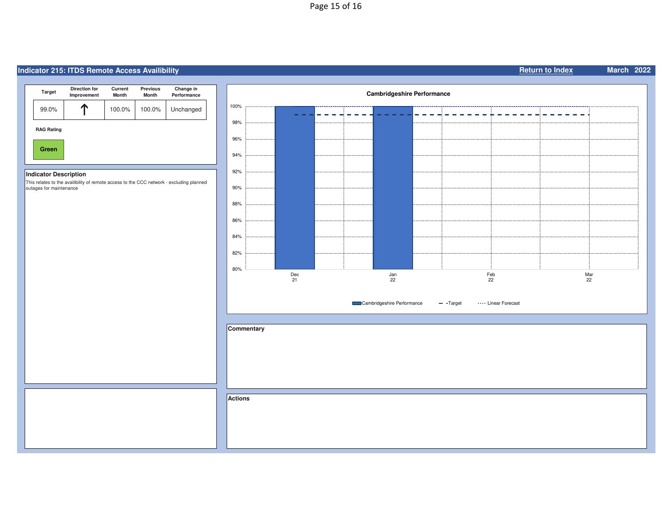# Page 15 of 16